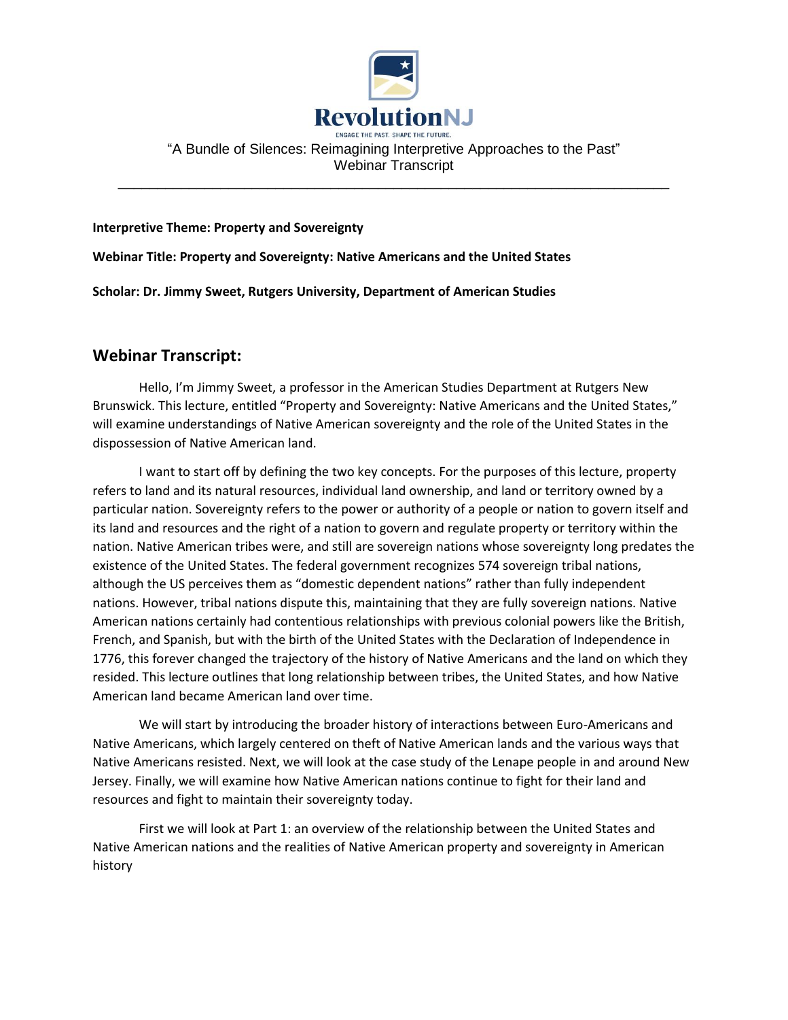

## "A Bundle of Silences: Reimagining Interpretive Approaches to the Past" Webinar Transcript

\_\_\_\_\_\_\_\_\_\_\_\_\_\_\_\_\_\_\_\_\_\_\_\_\_\_\_\_\_\_\_\_\_\_\_\_\_\_\_\_\_\_\_\_\_\_\_\_\_\_\_\_\_\_\_\_\_\_\_\_\_\_\_\_\_\_\_\_\_\_

**Interpretive Theme: Property and Sovereignty**

**Webinar Title: Property and Sovereignty: Native Americans and the United States**

**Scholar: Dr. Jimmy Sweet, Rutgers University, Department of American Studies**

## **Webinar Transcript:**

Hello, I'm Jimmy Sweet, a professor in the American Studies Department at Rutgers New Brunswick. This lecture, entitled "Property and Sovereignty: Native Americans and the United States," will examine understandings of Native American sovereignty and the role of the United States in the dispossession of Native American land.

I want to start off by defining the two key concepts. For the purposes of this lecture, property refers to land and its natural resources, individual land ownership, and land or territory owned by a particular nation. Sovereignty refers to the power or authority of a people or nation to govern itself and its land and resources and the right of a nation to govern and regulate property or territory within the nation. Native American tribes were, and still are sovereign nations whose sovereignty long predates the existence of the United States. The federal government recognizes 574 sovereign tribal nations, although the US perceives them as "domestic dependent nations" rather than fully independent nations. However, tribal nations dispute this, maintaining that they are fully sovereign nations. Native American nations certainly had contentious relationships with previous colonial powers like the British, French, and Spanish, but with the birth of the United States with the Declaration of Independence in 1776, this forever changed the trajectory of the history of Native Americans and the land on which they resided. This lecture outlines that long relationship between tribes, the United States, and how Native American land became American land over time.

We will start by introducing the broader history of interactions between Euro-Americans and Native Americans, which largely centered on theft of Native American lands and the various ways that Native Americans resisted. Next, we will look at the case study of the Lenape people in and around New Jersey. Finally, we will examine how Native American nations continue to fight for their land and resources and fight to maintain their sovereignty today.

First we will look at Part 1: an overview of the relationship between the United States and Native American nations and the realities of Native American property and sovereignty in American history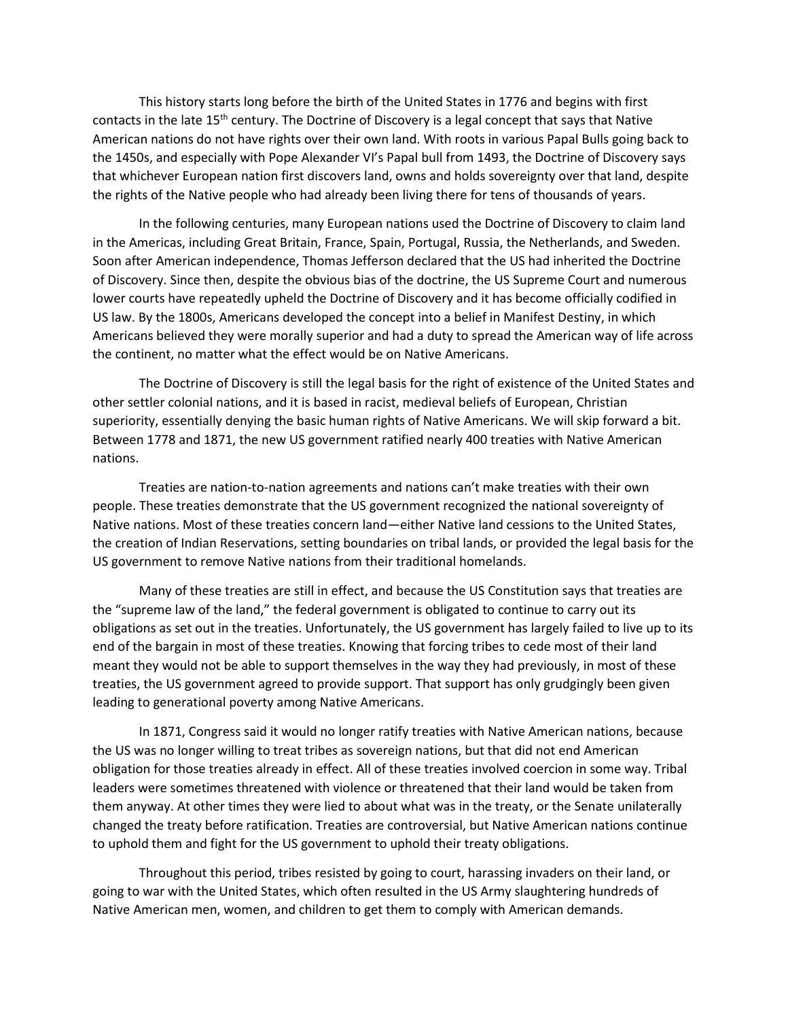This history starts long before the birth of the United States in 1776 and begins with first contacts in the late 15<sup>th</sup> century. The Doctrine of Discovery is a legal concept that says that Native American nations do not have rights over their own land. With roots in various Papal Bulls going back to the 1450s, and especially with Pope Alexander VI's Papal bull from 1493, the Doctrine of Discovery says that whichever European nation first discovers land, owns and holds sovereignty over that land, despite the rights of the Native people who had already been living there for tens of thousands of years.

In the following centuries, many European nations used the Doctrine of Discovery to claim land in the Americas, including Great Britain, France, Spain, Portugal, Russia, the Netherlands, and Sweden. Soon after American independence, Thomas Jefferson declared that the US had inherited the Doctrine of Discovery. Since then, despite the obvious bias of the doctrine, the US Supreme Court and numerous lower courts have repeatedly upheld the Doctrine of Discovery and it has become officially codified in US law. By the 1800s, Americans developed the concept into a belief in Manifest Destiny, in which Americans believed they were morally superior and had a duty to spread the American way of life across the continent, no matter what the effect would be on Native Americans.

The Doctrine of Discovery is still the legal basis for the right of existence of the United States and other settler colonial nations, and it is based in racist, medieval beliefs of European, Christian superiority, essentially denying the basic human rights of Native Americans. We will skip forward a bit. Between 1778 and 1871, the new US government ratified nearly 400 treaties with Native American nations.

Treaties are nation-to-nation agreements and nations can't make treaties with their own people. These treaties demonstrate that the US government recognized the national sovereignty of Native nations. Most of these treaties concern land—either Native land cessions to the United States, the creation of Indian Reservations, setting boundaries on tribal lands, or provided the legal basis for the US government to remove Native nations from their traditional homelands.

Many of these treaties are still in effect, and because the US Constitution says that treaties are the "supreme law of the land," the federal government is obligated to continue to carry out its obligations as set out in the treaties. Unfortunately, the US government has largely failed to live up to its end of the bargain in most of these treaties. Knowing that forcing tribes to cede most of their land meant they would not be able to support themselves in the way they had previously, in most of these treaties, the US government agreed to provide support. That support has only grudgingly been given leading to generational poverty among Native Americans.

In 1871, Congress said it would no longer ratify treaties with Native American nations, because the US was no longer willing to treat tribes as sovereign nations, but that did not end American obligation for those treaties already in effect. All of these treaties involved coercion in some way. Tribal leaders were sometimes threatened with violence or threatened that their land would be taken from them anyway. At other times they were lied to about what was in the treaty, or the Senate unilaterally changed the treaty before ratification. Treaties are controversial, but Native American nations continue to uphold them and fight for the US government to uphold their treaty obligations.

Throughout this period, tribes resisted by going to court, harassing invaders on their land, or going to war with the United States, which often resulted in the US Army slaughtering hundreds of Native American men, women, and children to get them to comply with American demands.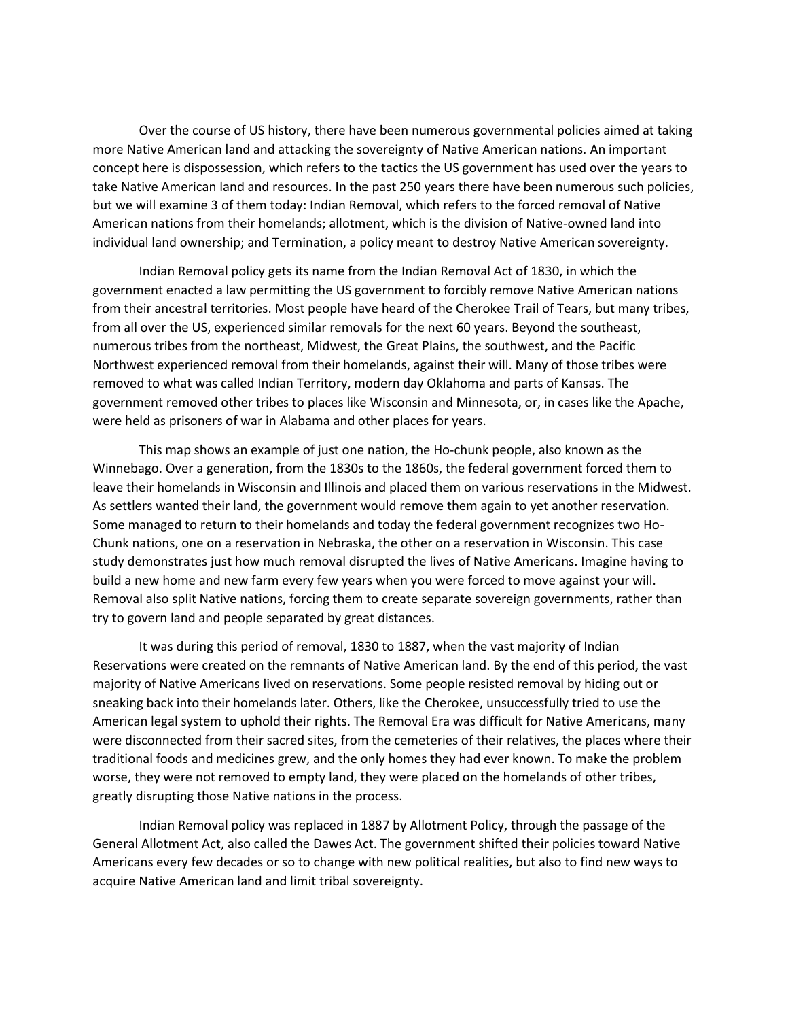Over the course of US history, there have been numerous governmental policies aimed at taking more Native American land and attacking the sovereignty of Native American nations. An important concept here is dispossession, which refers to the tactics the US government has used over the years to take Native American land and resources. In the past 250 years there have been numerous such policies, but we will examine 3 of them today: Indian Removal, which refers to the forced removal of Native American nations from their homelands; allotment, which is the division of Native-owned land into individual land ownership; and Termination, a policy meant to destroy Native American sovereignty.

Indian Removal policy gets its name from the Indian Removal Act of 1830, in which the government enacted a law permitting the US government to forcibly remove Native American nations from their ancestral territories. Most people have heard of the Cherokee Trail of Tears, but many tribes, from all over the US, experienced similar removals for the next 60 years. Beyond the southeast, numerous tribes from the northeast, Midwest, the Great Plains, the southwest, and the Pacific Northwest experienced removal from their homelands, against their will. Many of those tribes were removed to what was called Indian Territory, modern day Oklahoma and parts of Kansas. The government removed other tribes to places like Wisconsin and Minnesota, or, in cases like the Apache, were held as prisoners of war in Alabama and other places for years.

This map shows an example of just one nation, the Ho-chunk people, also known as the Winnebago. Over a generation, from the 1830s to the 1860s, the federal government forced them to leave their homelands in Wisconsin and Illinois and placed them on various reservations in the Midwest. As settlers wanted their land, the government would remove them again to yet another reservation. Some managed to return to their homelands and today the federal government recognizes two Ho-Chunk nations, one on a reservation in Nebraska, the other on a reservation in Wisconsin. This case study demonstrates just how much removal disrupted the lives of Native Americans. Imagine having to build a new home and new farm every few years when you were forced to move against your will. Removal also split Native nations, forcing them to create separate sovereign governments, rather than try to govern land and people separated by great distances.

It was during this period of removal, 1830 to 1887, when the vast majority of Indian Reservations were created on the remnants of Native American land. By the end of this period, the vast majority of Native Americans lived on reservations. Some people resisted removal by hiding out or sneaking back into their homelands later. Others, like the Cherokee, unsuccessfully tried to use the American legal system to uphold their rights. The Removal Era was difficult for Native Americans, many were disconnected from their sacred sites, from the cemeteries of their relatives, the places where their traditional foods and medicines grew, and the only homes they had ever known. To make the problem worse, they were not removed to empty land, they were placed on the homelands of other tribes, greatly disrupting those Native nations in the process.

Indian Removal policy was replaced in 1887 by Allotment Policy, through the passage of the General Allotment Act, also called the Dawes Act. The government shifted their policies toward Native Americans every few decades or so to change with new political realities, but also to find new ways to acquire Native American land and limit tribal sovereignty.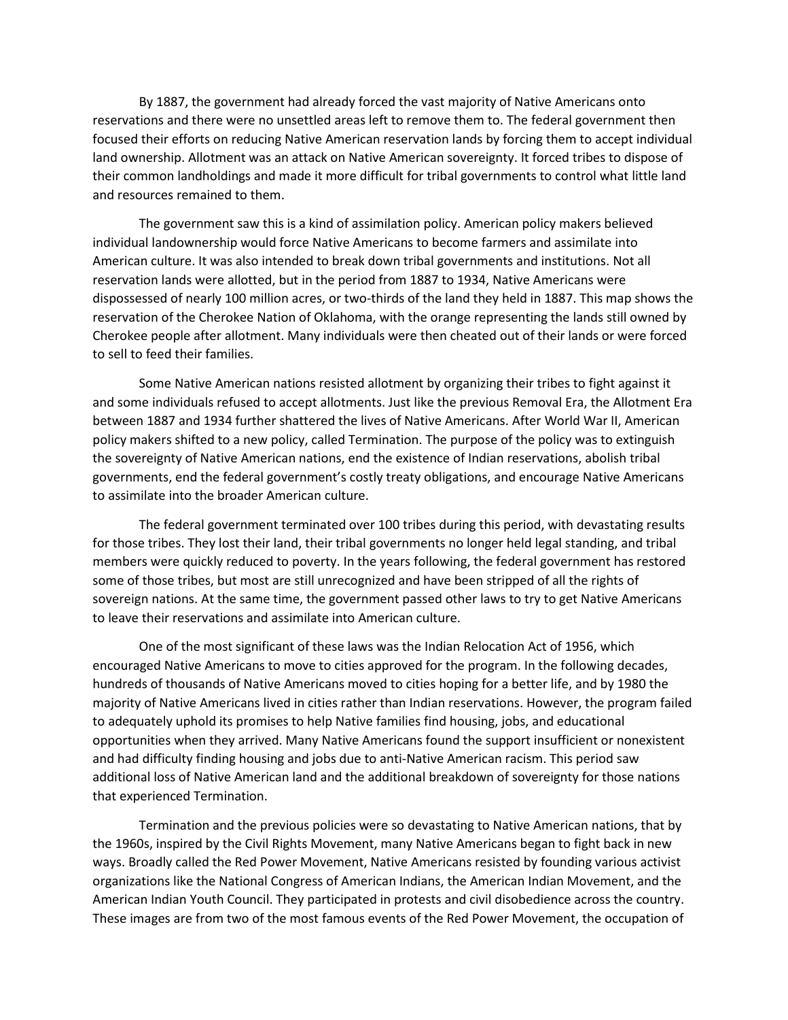By 1887, the government had already forced the vast majority of Native Americans onto reservations and there were no unsettled areas left to remove them to. The federal government then focused their efforts on reducing Native American reservation lands by forcing them to accept individual land ownership. Allotment was an attack on Native American sovereignty. It forced tribes to dispose of their common landholdings and made it more difficult for tribal governments to control what little land and resources remained to them.

The government saw this is a kind of assimilation policy. American policy makers believed individual landownership would force Native Americans to become farmers and assimilate into American culture. It was also intended to break down tribal governments and institutions. Not all reservation lands were allotted, but in the period from 1887 to 1934, Native Americans were dispossessed of nearly 100 million acres, or two-thirds of the land they held in 1887. This map shows the reservation of the Cherokee Nation of Oklahoma, with the orange representing the lands still owned by Cherokee people after allotment. Many individuals were then cheated out of their lands or were forced to sell to feed their families.

Some Native American nations resisted allotment by organizing their tribes to fight against it and some individuals refused to accept allotments. Just like the previous Removal Era, the Allotment Era between 1887 and 1934 further shattered the lives of Native Americans. After World War II, American policy makers shifted to a new policy, called Termination. The purpose of the policy was to extinguish the sovereignty of Native American nations, end the existence of Indian reservations, abolish tribal governments, end the federal government's costly treaty obligations, and encourage Native Americans to assimilate into the broader American culture.

The federal government terminated over 100 tribes during this period, with devastating results for those tribes. They lost their land, their tribal governments no longer held legal standing, and tribal members were quickly reduced to poverty. In the years following, the federal government has restored some of those tribes, but most are still unrecognized and have been stripped of all the rights of sovereign nations. At the same time, the government passed other laws to try to get Native Americans to leave their reservations and assimilate into American culture.

One of the most significant of these laws was the Indian Relocation Act of 1956, which encouraged Native Americans to move to cities approved for the program. In the following decades, hundreds of thousands of Native Americans moved to cities hoping for a better life, and by 1980 the majority of Native Americans lived in cities rather than Indian reservations. However, the program failed to adequately uphold its promises to help Native families find housing, jobs, and educational opportunities when they arrived. Many Native Americans found the support insufficient or nonexistent and had difficulty finding housing and jobs due to anti-Native American racism. This period saw additional loss of Native American land and the additional breakdown of sovereignty for those nations that experienced Termination.

Termination and the previous policies were so devastating to Native American nations, that by the 1960s, inspired by the Civil Rights Movement, many Native Americans began to fight back in new ways. Broadly called the Red Power Movement, Native Americans resisted by founding various activist organizations like the National Congress of American Indians, the American Indian Movement, and the American Indian Youth Council. They participated in protests and civil disobedience across the country. These images are from two of the most famous events of the Red Power Movement, the occupation of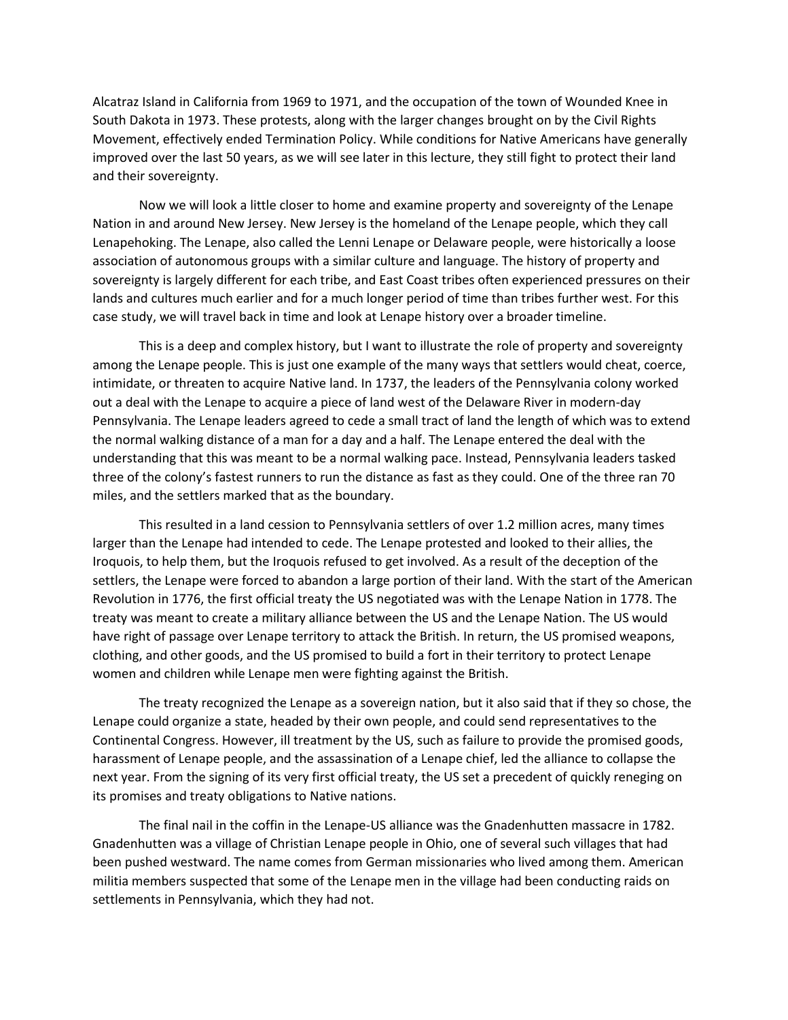Alcatraz Island in California from 1969 to 1971, and the occupation of the town of Wounded Knee in South Dakota in 1973. These protests, along with the larger changes brought on by the Civil Rights Movement, effectively ended Termination Policy. While conditions for Native Americans have generally improved over the last 50 years, as we will see later in this lecture, they still fight to protect their land and their sovereignty.

Now we will look a little closer to home and examine property and sovereignty of the Lenape Nation in and around New Jersey. New Jersey is the homeland of the Lenape people, which they call Lenapehoking. The Lenape, also called the Lenni Lenape or Delaware people, were historically a loose association of autonomous groups with a similar culture and language. The history of property and sovereignty is largely different for each tribe, and East Coast tribes often experienced pressures on their lands and cultures much earlier and for a much longer period of time than tribes further west. For this case study, we will travel back in time and look at Lenape history over a broader timeline.

This is a deep and complex history, but I want to illustrate the role of property and sovereignty among the Lenape people. This is just one example of the many ways that settlers would cheat, coerce, intimidate, or threaten to acquire Native land. In 1737, the leaders of the Pennsylvania colony worked out a deal with the Lenape to acquire a piece of land west of the Delaware River in modern-day Pennsylvania. The Lenape leaders agreed to cede a small tract of land the length of which was to extend the normal walking distance of a man for a day and a half. The Lenape entered the deal with the understanding that this was meant to be a normal walking pace. Instead, Pennsylvania leaders tasked three of the colony's fastest runners to run the distance as fast as they could. One of the three ran 70 miles, and the settlers marked that as the boundary.

This resulted in a land cession to Pennsylvania settlers of over 1.2 million acres, many times larger than the Lenape had intended to cede. The Lenape protested and looked to their allies, the Iroquois, to help them, but the Iroquois refused to get involved. As a result of the deception of the settlers, the Lenape were forced to abandon a large portion of their land. With the start of the American Revolution in 1776, the first official treaty the US negotiated was with the Lenape Nation in 1778. The treaty was meant to create a military alliance between the US and the Lenape Nation. The US would have right of passage over Lenape territory to attack the British. In return, the US promised weapons, clothing, and other goods, and the US promised to build a fort in their territory to protect Lenape women and children while Lenape men were fighting against the British.

The treaty recognized the Lenape as a sovereign nation, but it also said that if they so chose, the Lenape could organize a state, headed by their own people, and could send representatives to the Continental Congress. However, ill treatment by the US, such as failure to provide the promised goods, harassment of Lenape people, and the assassination of a Lenape chief, led the alliance to collapse the next year. From the signing of its very first official treaty, the US set a precedent of quickly reneging on its promises and treaty obligations to Native nations.

The final nail in the coffin in the Lenape-US alliance was the Gnadenhutten massacre in 1782. Gnadenhutten was a village of Christian Lenape people in Ohio, one of several such villages that had been pushed westward. The name comes from German missionaries who lived among them. American militia members suspected that some of the Lenape men in the village had been conducting raids on settlements in Pennsylvania, which they had not.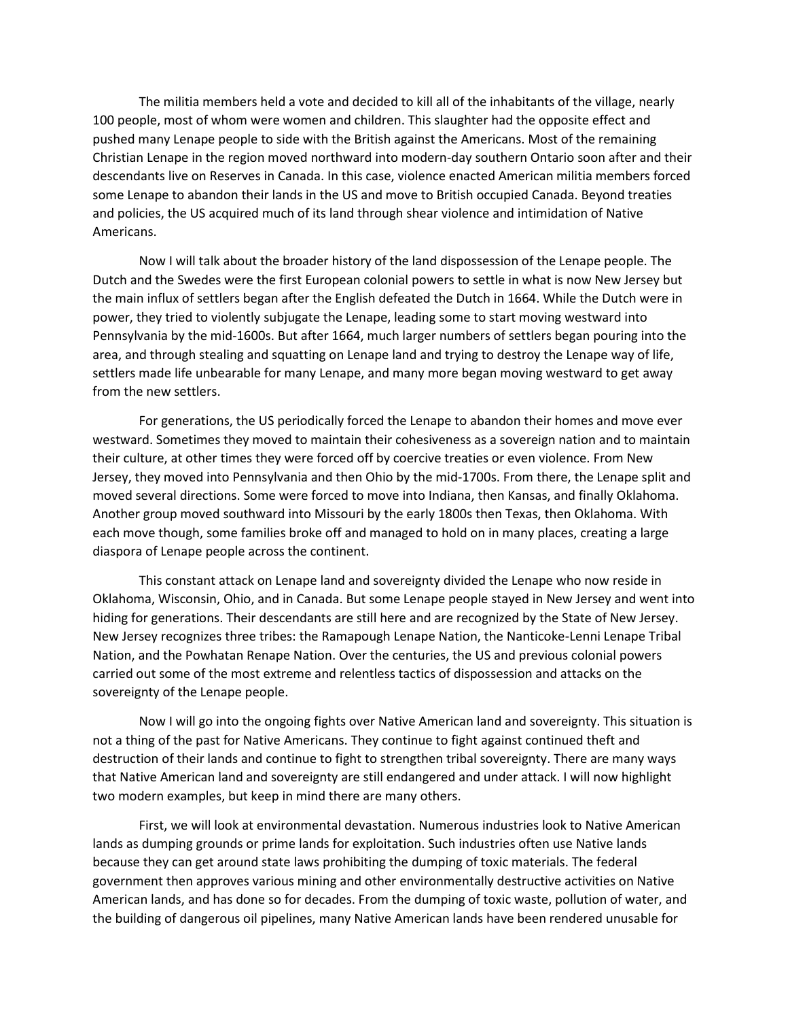The militia members held a vote and decided to kill all of the inhabitants of the village, nearly 100 people, most of whom were women and children. This slaughter had the opposite effect and pushed many Lenape people to side with the British against the Americans. Most of the remaining Christian Lenape in the region moved northward into modern-day southern Ontario soon after and their descendants live on Reserves in Canada. In this case, violence enacted American militia members forced some Lenape to abandon their lands in the US and move to British occupied Canada. Beyond treaties and policies, the US acquired much of its land through shear violence and intimidation of Native Americans.

Now I will talk about the broader history of the land dispossession of the Lenape people. The Dutch and the Swedes were the first European colonial powers to settle in what is now New Jersey but the main influx of settlers began after the English defeated the Dutch in 1664. While the Dutch were in power, they tried to violently subjugate the Lenape, leading some to start moving westward into Pennsylvania by the mid-1600s. But after 1664, much larger numbers of settlers began pouring into the area, and through stealing and squatting on Lenape land and trying to destroy the Lenape way of life, settlers made life unbearable for many Lenape, and many more began moving westward to get away from the new settlers.

For generations, the US periodically forced the Lenape to abandon their homes and move ever westward. Sometimes they moved to maintain their cohesiveness as a sovereign nation and to maintain their culture, at other times they were forced off by coercive treaties or even violence. From New Jersey, they moved into Pennsylvania and then Ohio by the mid-1700s. From there, the Lenape split and moved several directions. Some were forced to move into Indiana, then Kansas, and finally Oklahoma. Another group moved southward into Missouri by the early 1800s then Texas, then Oklahoma. With each move though, some families broke off and managed to hold on in many places, creating a large diaspora of Lenape people across the continent.

This constant attack on Lenape land and sovereignty divided the Lenape who now reside in Oklahoma, Wisconsin, Ohio, and in Canada. But some Lenape people stayed in New Jersey and went into hiding for generations. Their descendants are still here and are recognized by the State of New Jersey. New Jersey recognizes three tribes: the Ramapough Lenape Nation, the Nanticoke-Lenni Lenape Tribal Nation, and the Powhatan Renape Nation. Over the centuries, the US and previous colonial powers carried out some of the most extreme and relentless tactics of dispossession and attacks on the sovereignty of the Lenape people.

Now I will go into the ongoing fights over Native American land and sovereignty. This situation is not a thing of the past for Native Americans. They continue to fight against continued theft and destruction of their lands and continue to fight to strengthen tribal sovereignty. There are many ways that Native American land and sovereignty are still endangered and under attack. I will now highlight two modern examples, but keep in mind there are many others.

First, we will look at environmental devastation. Numerous industries look to Native American lands as dumping grounds or prime lands for exploitation. Such industries often use Native lands because they can get around state laws prohibiting the dumping of toxic materials. The federal government then approves various mining and other environmentally destructive activities on Native American lands, and has done so for decades. From the dumping of toxic waste, pollution of water, and the building of dangerous oil pipelines, many Native American lands have been rendered unusable for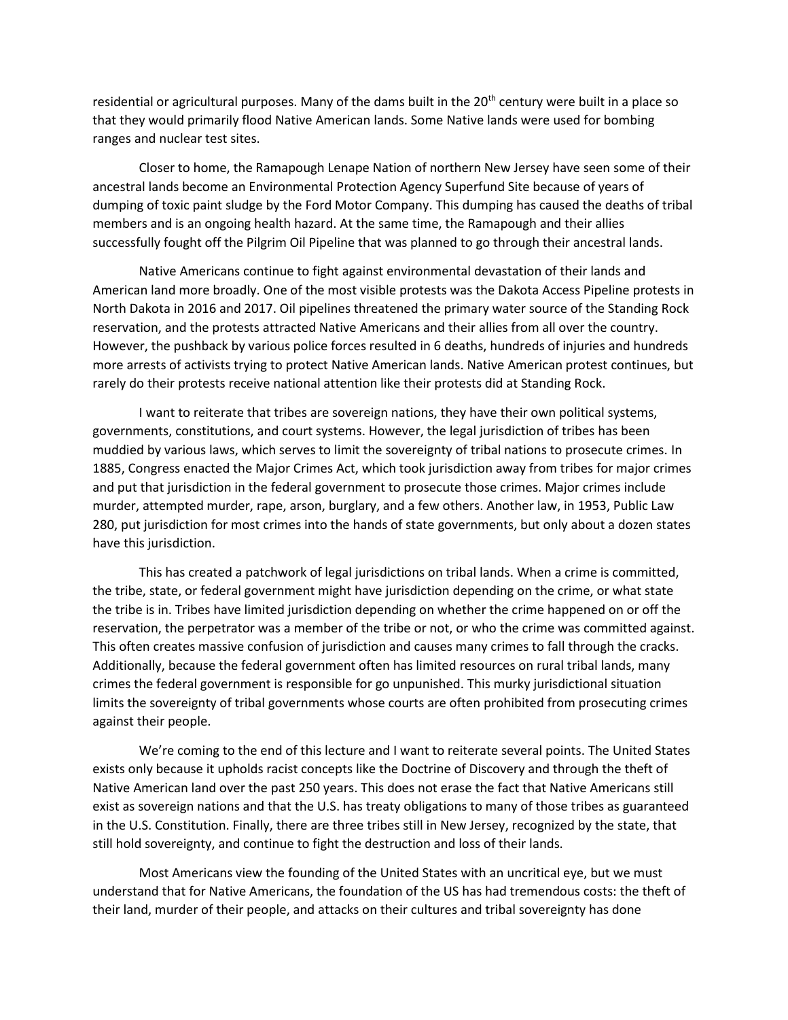residential or agricultural purposes. Many of the dams built in the  $20<sup>th</sup>$  century were built in a place so that they would primarily flood Native American lands. Some Native lands were used for bombing ranges and nuclear test sites.

Closer to home, the Ramapough Lenape Nation of northern New Jersey have seen some of their ancestral lands become an Environmental Protection Agency Superfund Site because of years of dumping of toxic paint sludge by the Ford Motor Company. This dumping has caused the deaths of tribal members and is an ongoing health hazard. At the same time, the Ramapough and their allies successfully fought off the Pilgrim Oil Pipeline that was planned to go through their ancestral lands.

Native Americans continue to fight against environmental devastation of their lands and American land more broadly. One of the most visible protests was the Dakota Access Pipeline protests in North Dakota in 2016 and 2017. Oil pipelines threatened the primary water source of the Standing Rock reservation, and the protests attracted Native Americans and their allies from all over the country. However, the pushback by various police forces resulted in 6 deaths, hundreds of injuries and hundreds more arrests of activists trying to protect Native American lands. Native American protest continues, but rarely do their protests receive national attention like their protests did at Standing Rock.

I want to reiterate that tribes are sovereign nations, they have their own political systems, governments, constitutions, and court systems. However, the legal jurisdiction of tribes has been muddied by various laws, which serves to limit the sovereignty of tribal nations to prosecute crimes. In 1885, Congress enacted the Major Crimes Act, which took jurisdiction away from tribes for major crimes and put that jurisdiction in the federal government to prosecute those crimes. Major crimes include murder, attempted murder, rape, arson, burglary, and a few others. Another law, in 1953, Public Law 280, put jurisdiction for most crimes into the hands of state governments, but only about a dozen states have this jurisdiction.

This has created a patchwork of legal jurisdictions on tribal lands. When a crime is committed, the tribe, state, or federal government might have jurisdiction depending on the crime, or what state the tribe is in. Tribes have limited jurisdiction depending on whether the crime happened on or off the reservation, the perpetrator was a member of the tribe or not, or who the crime was committed against. This often creates massive confusion of jurisdiction and causes many crimes to fall through the cracks. Additionally, because the federal government often has limited resources on rural tribal lands, many crimes the federal government is responsible for go unpunished. This murky jurisdictional situation limits the sovereignty of tribal governments whose courts are often prohibited from prosecuting crimes against their people.

We're coming to the end of this lecture and I want to reiterate several points. The United States exists only because it upholds racist concepts like the Doctrine of Discovery and through the theft of Native American land over the past 250 years. This does not erase the fact that Native Americans still exist as sovereign nations and that the U.S. has treaty obligations to many of those tribes as guaranteed in the U.S. Constitution. Finally, there are three tribes still in New Jersey, recognized by the state, that still hold sovereignty, and continue to fight the destruction and loss of their lands.

Most Americans view the founding of the United States with an uncritical eye, but we must understand that for Native Americans, the foundation of the US has had tremendous costs: the theft of their land, murder of their people, and attacks on their cultures and tribal sovereignty has done